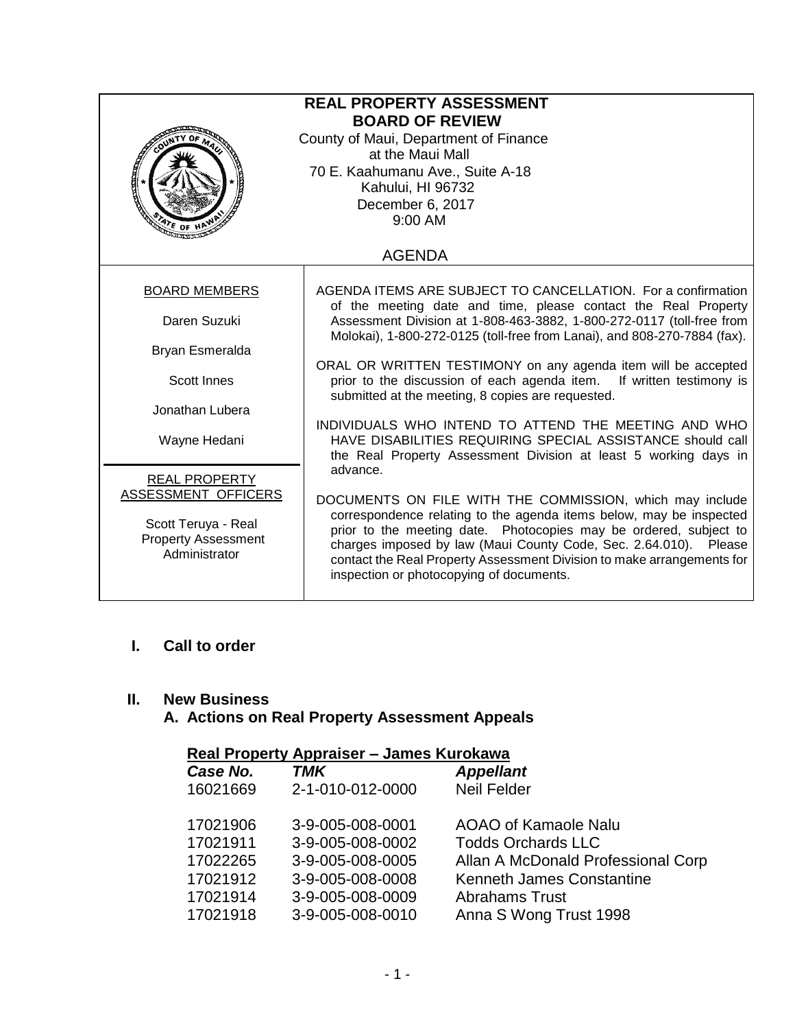| <b>REAL PROPERTY ASSESSMENT</b><br><b>BOARD OF REVIEW</b><br>County of Maui, Department of Finance<br>at the Maui Mall<br>70 E. Kaahumanu Ave., Suite A-18<br><b>Registration</b><br>Kahului, HI 96732<br>December 6, 2017<br>$9:00$ AM<br>$\frac{4\pi}{3}$ of H                                                                   |  |  |  |  |  |  |
|------------------------------------------------------------------------------------------------------------------------------------------------------------------------------------------------------------------------------------------------------------------------------------------------------------------------------------|--|--|--|--|--|--|
| <b>AGENDA</b>                                                                                                                                                                                                                                                                                                                      |  |  |  |  |  |  |
| AGENDA ITEMS ARE SUBJECT TO CANCELLATION. For a confirmation<br>of the meeting date and time, please contact the Real Property                                                                                                                                                                                                     |  |  |  |  |  |  |
| Assessment Division at 1-808-463-3882, 1-800-272-0117 (toll-free from<br>Molokai), 1-800-272-0125 (toll-free from Lanai), and 808-270-7884 (fax).                                                                                                                                                                                  |  |  |  |  |  |  |
|                                                                                                                                                                                                                                                                                                                                    |  |  |  |  |  |  |
| ORAL OR WRITTEN TESTIMONY on any agenda item will be accepted<br>prior to the discussion of each agenda item.<br>If written testimony is<br>submitted at the meeting, 8 copies are requested.                                                                                                                                      |  |  |  |  |  |  |
|                                                                                                                                                                                                                                                                                                                                    |  |  |  |  |  |  |
| INDIVIDUALS WHO INTEND TO ATTEND THE MEETING AND WHO<br>HAVE DISABILITIES REQUIRING SPECIAL ASSISTANCE should call<br>the Real Property Assessment Division at least 5 working days in<br>advance.                                                                                                                                 |  |  |  |  |  |  |
|                                                                                                                                                                                                                                                                                                                                    |  |  |  |  |  |  |
| DOCUMENTS ON FILE WITH THE COMMISSION, which may include                                                                                                                                                                                                                                                                           |  |  |  |  |  |  |
| correspondence relating to the agenda items below, may be inspected<br>prior to the meeting date. Photocopies may be ordered, subject to<br>charges imposed by law (Maui County Code, Sec. 2.64.010). Please<br>contact the Real Property Assessment Division to make arrangements for<br>inspection or photocopying of documents. |  |  |  |  |  |  |
|                                                                                                                                                                                                                                                                                                                                    |  |  |  |  |  |  |

# **I. Call to order**

# **II. New Business**

# **A. Actions on Real Property Assessment Appeals**

| Real Property Appraiser - James Kurokawa |                  |                                    |  |  |  |
|------------------------------------------|------------------|------------------------------------|--|--|--|
| Case No.                                 | TMK              | <b>Appellant</b>                   |  |  |  |
| 16021669                                 | 2-1-010-012-0000 | <b>Neil Felder</b>                 |  |  |  |
| 17021906                                 | 3-9-005-008-0001 | AOAO of Kamaole Nalu               |  |  |  |
| 17021911                                 | 3-9-005-008-0002 | <b>Todds Orchards LLC</b>          |  |  |  |
| 17022265                                 | 3-9-005-008-0005 | Allan A McDonald Professional Corp |  |  |  |
| 17021912                                 | 3-9-005-008-0008 | Kenneth James Constantine          |  |  |  |
| 17021914                                 | 3-9-005-008-0009 | <b>Abrahams Trust</b>              |  |  |  |
| 17021918                                 | 3-9-005-008-0010 | Anna S Wong Trust 1998             |  |  |  |